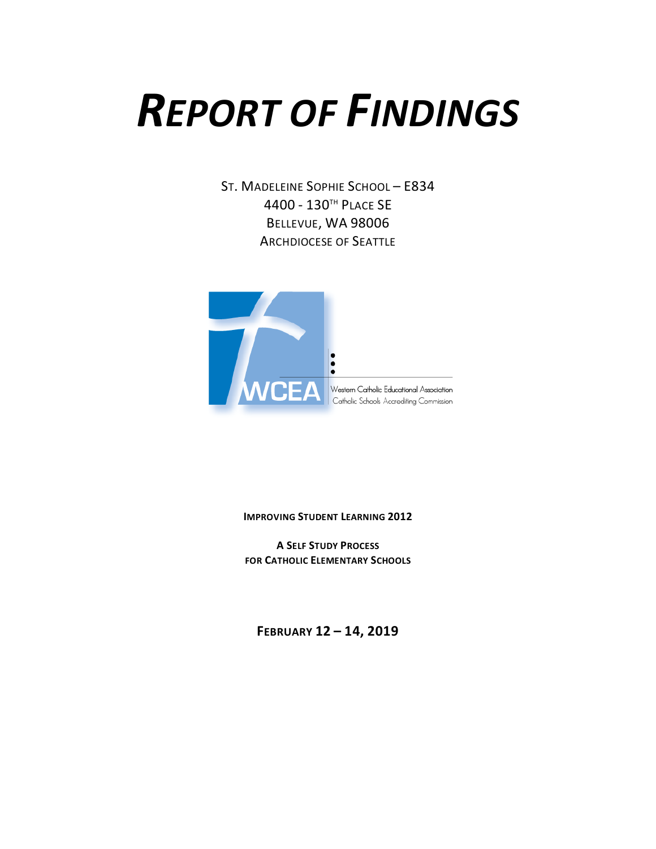# *REPORT OF FINDINGS*

ST. MADELEINE SOPHIE SCHOOL – E834 4400 - 130TH PLACE SE BELLEVUE, WA 98006 ARCHDIOCESE OF SEATTLE



**IMPROVING STUDENT LEARNING 2012**

**A SELF STUDY PROCESS FOR CATHOLIC ELEMENTARY SCHOOLS**

**FEBRUARY 12 – 14, 2019**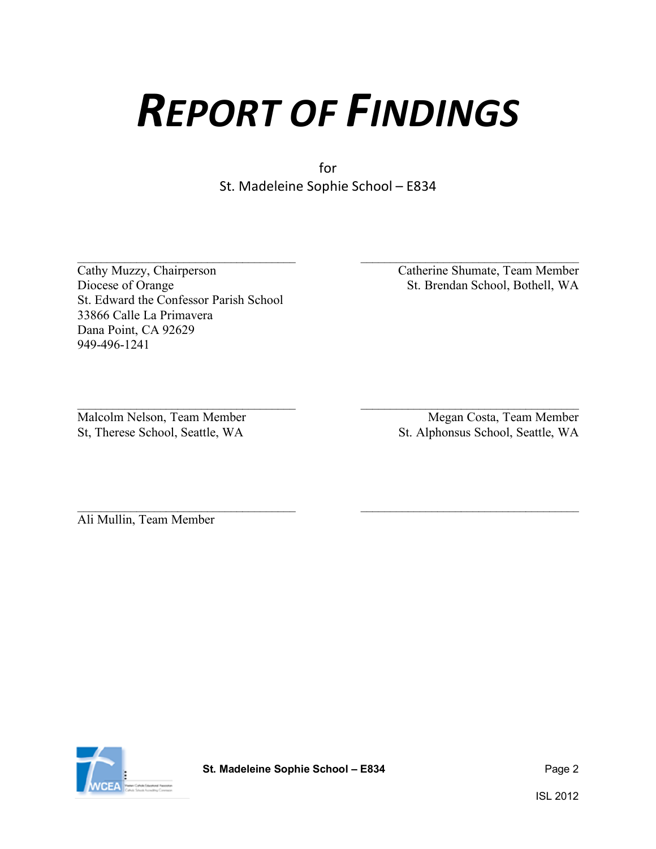# *REPORT OF FINDINGS*

for St. Madeleine Sophie School – E834

 $\_$  , and the contribution of the contribution of  $\overline{\mathcal{L}}$  , and the contribution of  $\overline{\mathcal{L}}$ 

Cathy Muzzy, Chairperson Catherine Shumate, Team Member<br>Diocese of Orange St. Brendan School, Bothell, WA St. Edward the Confessor Parish School 33866 Calle La Primavera Dana Point, CA 92629 949-496-1241

 $\mathcal{L}_\mathcal{L} = \{ \mathcal{L}_\mathcal{L} = \{ \mathcal{L}_\mathcal{L} = \{ \mathcal{L}_\mathcal{L} = \{ \mathcal{L}_\mathcal{L} = \{ \mathcal{L}_\mathcal{L} = \{ \mathcal{L}_\mathcal{L} = \{ \mathcal{L}_\mathcal{L} = \{ \mathcal{L}_\mathcal{L} = \{ \mathcal{L}_\mathcal{L} = \{ \mathcal{L}_\mathcal{L} = \{ \mathcal{L}_\mathcal{L} = \{ \mathcal{L}_\mathcal{L} = \{ \mathcal{L}_\mathcal{L} = \{ \mathcal{L}_\mathcal{$ St. Brendan School, Bothell, WA

 $\mathcal{L}_\mathcal{L} = \{ \mathcal{L}_\mathcal{L} = \{ \mathcal{L}_\mathcal{L} = \{ \mathcal{L}_\mathcal{L} = \{ \mathcal{L}_\mathcal{L} = \{ \mathcal{L}_\mathcal{L} = \{ \mathcal{L}_\mathcal{L} = \{ \mathcal{L}_\mathcal{L} = \{ \mathcal{L}_\mathcal{L} = \{ \mathcal{L}_\mathcal{L} = \{ \mathcal{L}_\mathcal{L} = \{ \mathcal{L}_\mathcal{L} = \{ \mathcal{L}_\mathcal{L} = \{ \mathcal{L}_\mathcal{L} = \{ \mathcal{L}_\mathcal{$ Malcolm Nelson, Team Member Megan Costa, Team Member Megan Costa, Team Member St, Therese School, Seattle, WA St. Alphonsus School, Seattle, WA

Ali Mullin, Team Member

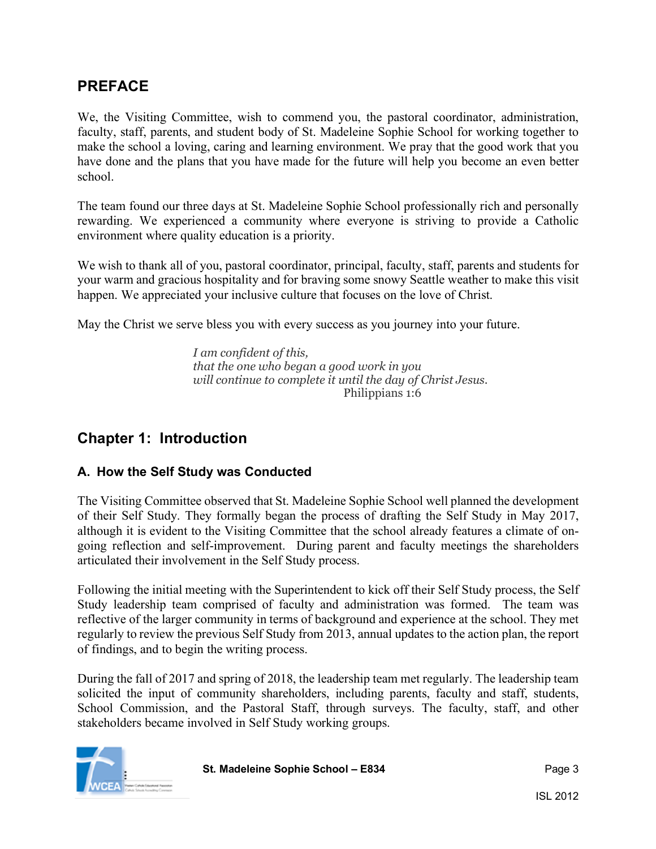### **PREFACE**

We, the Visiting Committee, wish to commend you, the pastoral coordinator, administration, faculty, staff, parents, and student body of St. Madeleine Sophie School for working together to make the school a loving, caring and learning environment. We pray that the good work that you have done and the plans that you have made for the future will help you become an even better school.

The team found our three days at St. Madeleine Sophie School professionally rich and personally rewarding. We experienced a community where everyone is striving to provide a Catholic environment where quality education is a priority.

We wish to thank all of you, pastoral coordinator, principal, faculty, staff, parents and students for your warm and gracious hospitality and for braving some snowy Seattle weather to make this visit happen. We appreciated your inclusive culture that focuses on the love of Christ.

May the Christ we serve bless you with every success as you journey into your future.

*I am confident of this, that the one who began a good work in you will continue to complete it until the day of Christ Jesus*. Philippians 1:6

## **Chapter 1: Introduction**

#### **A. How the Self Study was Conducted**

The Visiting Committee observed that St. Madeleine Sophie School well planned the development of their Self Study. They formally began the process of drafting the Self Study in May 2017, although it is evident to the Visiting Committee that the school already features a climate of ongoing reflection and self-improvement. During parent and faculty meetings the shareholders articulated their involvement in the Self Study process.

Following the initial meeting with the Superintendent to kick off their Self Study process, the Self Study leadership team comprised of faculty and administration was formed. The team was reflective of the larger community in terms of background and experience at the school. They met regularly to review the previous Self Study from 2013, annual updates to the action plan, the report of findings, and to begin the writing process.

During the fall of 2017 and spring of 2018, the leadership team met regularly. The leadership team solicited the input of community shareholders, including parents, faculty and staff, students, School Commission, and the Pastoral Staff, through surveys. The faculty, staff, and other stakeholders became involved in Self Study working groups.

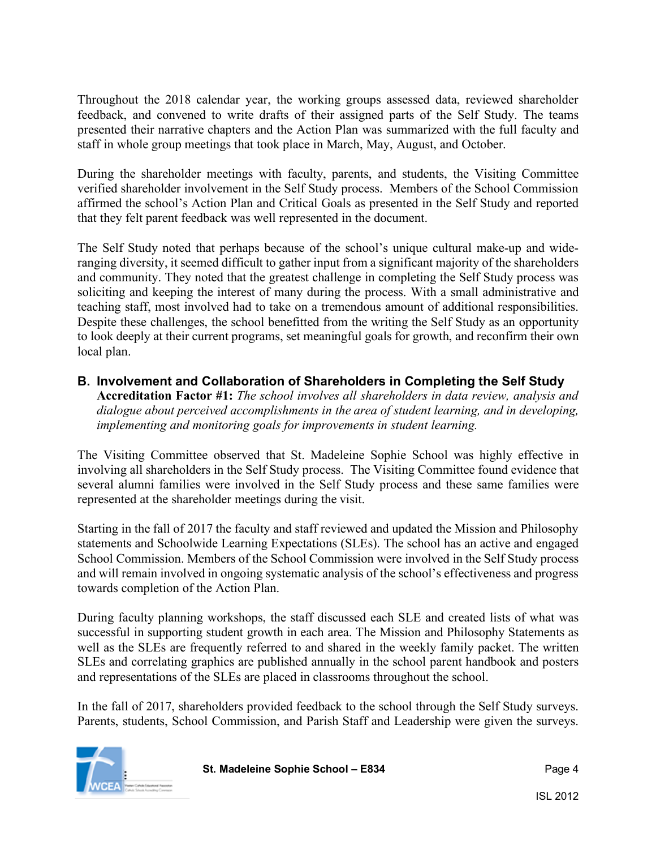Throughout the 2018 calendar year, the working groups assessed data, reviewed shareholder feedback, and convened to write drafts of their assigned parts of the Self Study. The teams presented their narrative chapters and the Action Plan was summarized with the full faculty and staff in whole group meetings that took place in March, May, August, and October.

During the shareholder meetings with faculty, parents, and students, the Visiting Committee verified shareholder involvement in the Self Study process. Members of the School Commission affirmed the school's Action Plan and Critical Goals as presented in the Self Study and reported that they felt parent feedback was well represented in the document.

The Self Study noted that perhaps because of the school's unique cultural make-up and wideranging diversity, it seemed difficult to gather input from a significant majority of the shareholders and community. They noted that the greatest challenge in completing the Self Study process was soliciting and keeping the interest of many during the process. With a small administrative and teaching staff, most involved had to take on a tremendous amount of additional responsibilities. Despite these challenges, the school benefitted from the writing the Self Study as an opportunity to look deeply at their current programs, set meaningful goals for growth, and reconfirm their own local plan.

# **B. Involvement and Collaboration of Shareholders in Completing the Self Study**

**Accreditation Factor #1:** *The school involves all shareholders in data review, analysis and dialogue about perceived accomplishments in the area of student learning, and in developing, implementing and monitoring goals for improvements in student learning.*

The Visiting Committee observed that St. Madeleine Sophie School was highly effective in involving all shareholders in the Self Study process. The Visiting Committee found evidence that several alumni families were involved in the Self Study process and these same families were represented at the shareholder meetings during the visit.

Starting in the fall of 2017 the faculty and staff reviewed and updated the Mission and Philosophy statements and Schoolwide Learning Expectations (SLEs). The school has an active and engaged School Commission. Members of the School Commission were involved in the Self Study process and will remain involved in ongoing systematic analysis of the school's effectiveness and progress towards completion of the Action Plan.

During faculty planning workshops, the staff discussed each SLE and created lists of what was successful in supporting student growth in each area. The Mission and Philosophy Statements as well as the SLEs are frequently referred to and shared in the weekly family packet. The written SLEs and correlating graphics are published annually in the school parent handbook and posters and representations of the SLEs are placed in classrooms throughout the school.

In the fall of 2017, shareholders provided feedback to the school through the Self Study surveys. Parents, students, School Commission, and Parish Staff and Leadership were given the surveys.

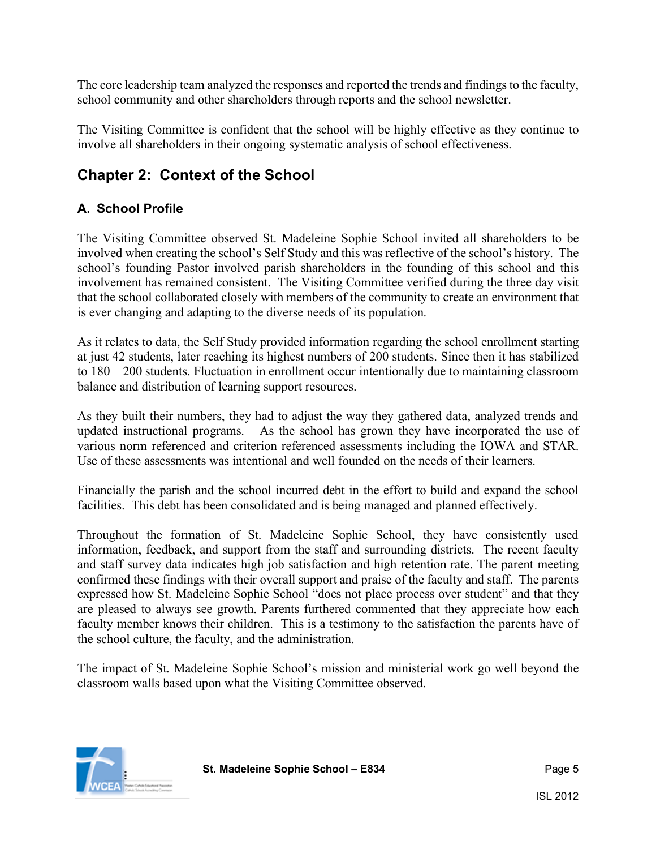The core leadership team analyzed the responses and reported the trends and findings to the faculty, school community and other shareholders through reports and the school newsletter.

The Visiting Committee is confident that the school will be highly effective as they continue to involve all shareholders in their ongoing systematic analysis of school effectiveness.

## **Chapter 2: Context of the School**

#### **A. School Profile**

The Visiting Committee observed St. Madeleine Sophie School invited all shareholders to be involved when creating the school's Self Study and this was reflective of the school's history. The school's founding Pastor involved parish shareholders in the founding of this school and this involvement has remained consistent. The Visiting Committee verified during the three day visit that the school collaborated closely with members of the community to create an environment that is ever changing and adapting to the diverse needs of its population.

As it relates to data, the Self Study provided information regarding the school enrollment starting at just 42 students, later reaching its highest numbers of 200 students. Since then it has stabilized to 180 – 200 students. Fluctuation in enrollment occur intentionally due to maintaining classroom balance and distribution of learning support resources.

As they built their numbers, they had to adjust the way they gathered data, analyzed trends and updated instructional programs. As the school has grown they have incorporated the use of various norm referenced and criterion referenced assessments including the IOWA and STAR. Use of these assessments was intentional and well founded on the needs of their learners.

Financially the parish and the school incurred debt in the effort to build and expand the school facilities. This debt has been consolidated and is being managed and planned effectively.

Throughout the formation of St. Madeleine Sophie School, they have consistently used information, feedback, and support from the staff and surrounding districts. The recent faculty and staff survey data indicates high job satisfaction and high retention rate. The parent meeting confirmed these findings with their overall support and praise of the faculty and staff. The parents expressed how St. Madeleine Sophie School "does not place process over student" and that they are pleased to always see growth. Parents furthered commented that they appreciate how each faculty member knows their children. This is a testimony to the satisfaction the parents have of the school culture, the faculty, and the administration.

The impact of St. Madeleine Sophie School's mission and ministerial work go well beyond the classroom walls based upon what the Visiting Committee observed.

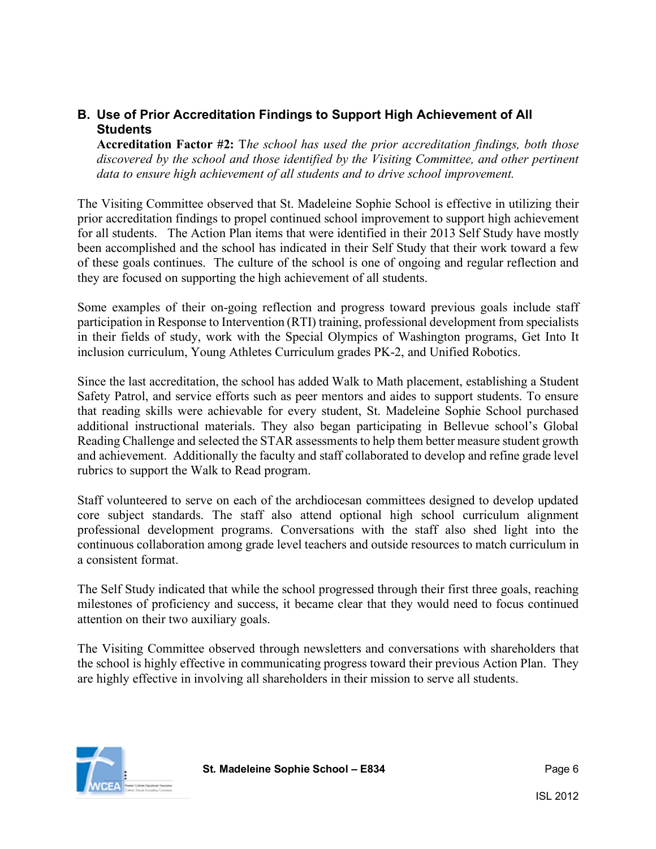#### **B. Use of Prior Accreditation Findings to Support High Achievement of All Students**

**Accreditation Factor #2:** T*he school has used the prior accreditation findings, both those discovered by the school and those identified by the Visiting Committee, and other pertinent data to ensure high achievement of all students and to drive school improvement.*

The Visiting Committee observed that St. Madeleine Sophie School is effective in utilizing their prior accreditation findings to propel continued school improvement to support high achievement for all students. The Action Plan items that were identified in their 2013 Self Study have mostly been accomplished and the school has indicated in their Self Study that their work toward a few of these goals continues. The culture of the school is one of ongoing and regular reflection and they are focused on supporting the high achievement of all students.

Some examples of their on-going reflection and progress toward previous goals include staff participation in Response to Intervention (RTI) training, professional development from specialists in their fields of study, work with the Special Olympics of Washington programs, Get Into It inclusion curriculum, Young Athletes Curriculum grades PK-2, and Unified Robotics.

Since the last accreditation, the school has added Walk to Math placement, establishing a Student Safety Patrol, and service efforts such as peer mentors and aides to support students. To ensure that reading skills were achievable for every student, St. Madeleine Sophie School purchased additional instructional materials. They also began participating in Bellevue school's Global Reading Challenge and selected the STAR assessments to help them better measure student growth and achievement. Additionally the faculty and staff collaborated to develop and refine grade level rubrics to support the Walk to Read program.

Staff volunteered to serve on each of the archdiocesan committees designed to develop updated core subject standards. The staff also attend optional high school curriculum alignment professional development programs. Conversations with the staff also shed light into the continuous collaboration among grade level teachers and outside resources to match curriculum in a consistent format.

The Self Study indicated that while the school progressed through their first three goals, reaching milestones of proficiency and success, it became clear that they would need to focus continued attention on their two auxiliary goals.

The Visiting Committee observed through newsletters and conversations with shareholders that the school is highly effective in communicating progress toward their previous Action Plan. They are highly effective in involving all shareholders in their mission to serve all students.

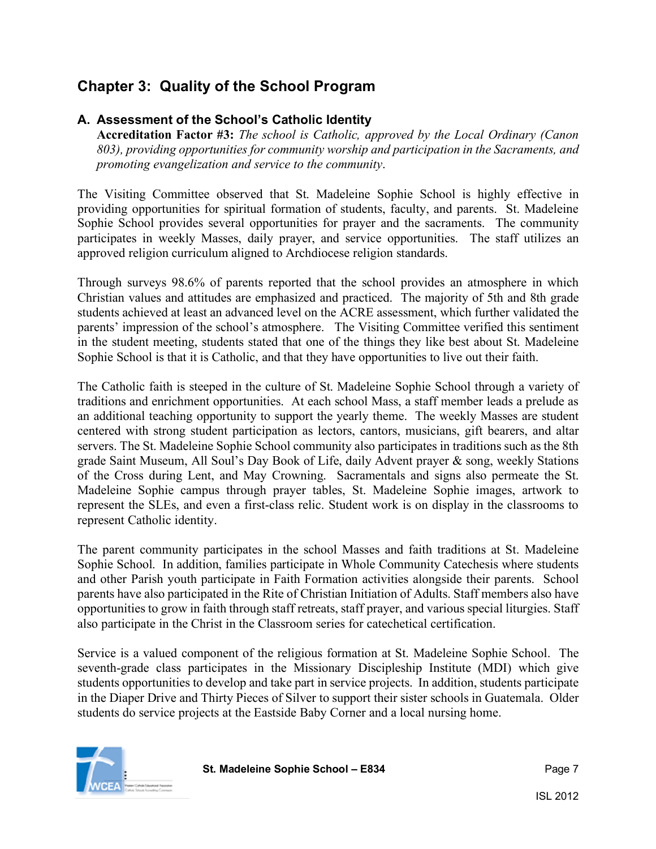# **Chapter 3: Quality of the School Program**

#### **A. Assessment of the School's Catholic Identity**

**Accreditation Factor #3:** *The school is Catholic, approved by the Local Ordinary (Canon 803), providing opportunities for community worship and participation in the Sacraments, and promoting evangelization and service to the community*.

The Visiting Committee observed that St. Madeleine Sophie School is highly effective in providing opportunities for spiritual formation of students, faculty, and parents. St. Madeleine Sophie School provides several opportunities for prayer and the sacraments. The community participates in weekly Masses, daily prayer, and service opportunities. The staff utilizes an approved religion curriculum aligned to Archdiocese religion standards.

Through surveys 98.6% of parents reported that the school provides an atmosphere in which Christian values and attitudes are emphasized and practiced. The majority of 5th and 8th grade students achieved at least an advanced level on the ACRE assessment, which further validated the parents' impression of the school's atmosphere. The Visiting Committee verified this sentiment in the student meeting, students stated that one of the things they like best about St. Madeleine Sophie School is that it is Catholic, and that they have opportunities to live out their faith.

The Catholic faith is steeped in the culture of St. Madeleine Sophie School through a variety of traditions and enrichment opportunities. At each school Mass, a staff member leads a prelude as an additional teaching opportunity to support the yearly theme. The weekly Masses are student centered with strong student participation as lectors, cantors, musicians, gift bearers, and altar servers. The St. Madeleine Sophie School community also participates in traditions such as the 8th grade Saint Museum, All Soul's Day Book of Life, daily Advent prayer & song, weekly Stations of the Cross during Lent, and May Crowning. Sacramentals and signs also permeate the St. Madeleine Sophie campus through prayer tables, St. Madeleine Sophie images, artwork to represent the SLEs, and even a first-class relic. Student work is on display in the classrooms to represent Catholic identity.

The parent community participates in the school Masses and faith traditions at St. Madeleine Sophie School. In addition, families participate in Whole Community Catechesis where students and other Parish youth participate in Faith Formation activities alongside their parents. School parents have also participated in the Rite of Christian Initiation of Adults. Staff members also have opportunities to grow in faith through staff retreats, staff prayer, and various special liturgies. Staff also participate in the Christ in the Classroom series for catechetical certification.

Service is a valued component of the religious formation at St. Madeleine Sophie School. The seventh-grade class participates in the Missionary Discipleship Institute (MDI) which give students opportunities to develop and take part in service projects. In addition, students participate in the Diaper Drive and Thirty Pieces of Silver to support their sister schools in Guatemala. Older students do service projects at the Eastside Baby Corner and a local nursing home.

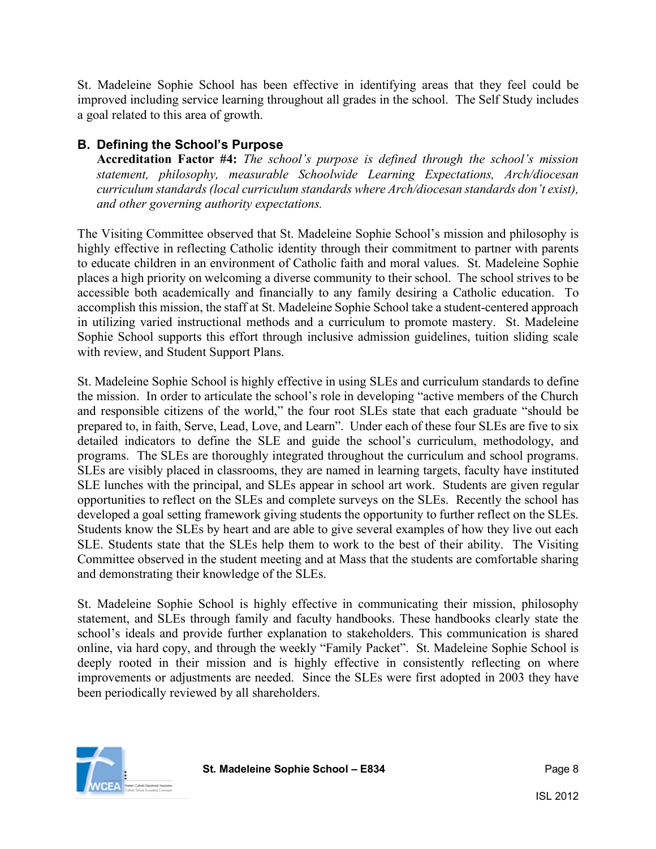St. Madeleine Sophie School has been effective in identifying areas that they feel could be improved including service learning throughout all grades in the school. The Self Study includes a goal related to this area of growth.

#### **B. Defining the School's Purpose**

**Accreditation Factor #4:** *The school's purpose is defined through the school's mission statement, philosophy, measurable Schoolwide Learning Expectations, Arch/diocesan curriculum standards (local curriculum standards where Arch/diocesan standards don't exist), and other governing authority expectations.*

The Visiting Committee observed that St. Madeleine Sophie School's mission and philosophy is highly effective in reflecting Catholic identity through their commitment to partner with parents to educate children in an environment of Catholic faith and moral values. St. Madeleine Sophie places a high priority on welcoming a diverse community to their school. The school strives to be accessible both academically and financially to any family desiring a Catholic education. To accomplish this mission, the staff at St. Madeleine Sophie School take a student-centered approach in utilizing varied instructional methods and a curriculum to promote mastery. St. Madeleine Sophie School supports this effort through inclusive admission guidelines, tuition sliding scale with review, and Student Support Plans.

St. Madeleine Sophie School is highly effective in using SLEs and curriculum standards to define the mission. In order to articulate the school's role in developing "active members of the Church and responsible citizens of the world," the four root SLEs state that each graduate "should be prepared to, in faith, Serve, Lead, Love, and Learn". Under each of these four SLEs are five to six detailed indicators to define the SLE and guide the school's curriculum, methodology, and programs. The SLEs are thoroughly integrated throughout the curriculum and school programs. SLEs are visibly placed in classrooms, they are named in learning targets, faculty have instituted SLE lunches with the principal, and SLEs appear in school art work. Students are given regular opportunities to reflect on the SLEs and complete surveys on the SLEs. Recently the school has developed a goal setting framework giving students the opportunity to further reflect on the SLEs. Students know the SLEs by heart and are able to give several examples of how they live out each SLE. Students state that the SLEs help them to work to the best of their ability. The Visiting Committee observed in the student meeting and at Mass that the students are comfortable sharing and demonstrating their knowledge of the SLEs.

St. Madeleine Sophie School is highly effective in communicating their mission, philosophy statement, and SLEs through family and faculty handbooks. These handbooks clearly state the school's ideals and provide further explanation to stakeholders. This communication is shared online, via hard copy, and through the weekly "Family Packet". St. Madeleine Sophie School is deeply rooted in their mission and is highly effective in consistently reflecting on where improvements or adjustments are needed. Since the SLEs were first adopted in 2003 they have been periodically reviewed by all shareholders.

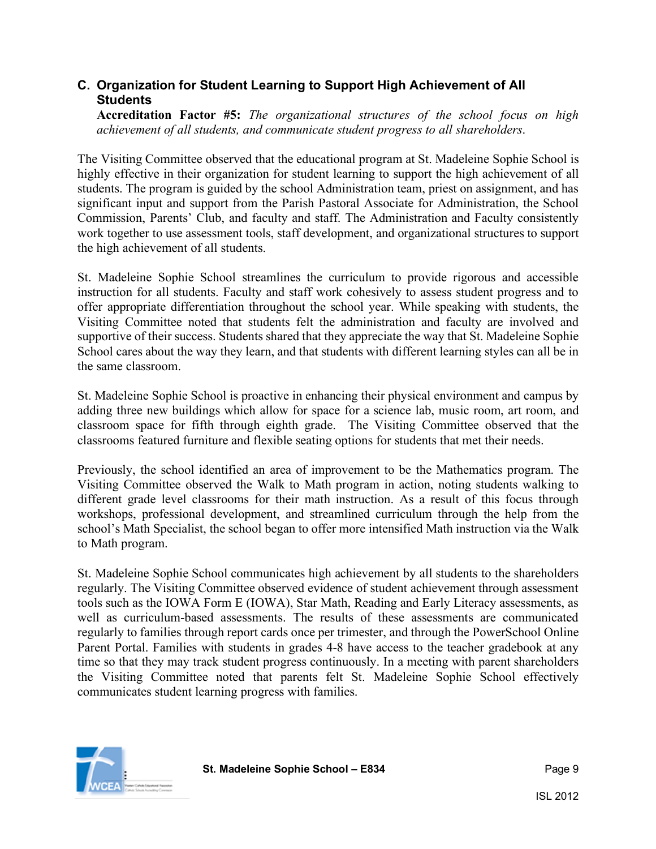#### **C. Organization for Student Learning to Support High Achievement of All Students**

**Accreditation Factor #5:** *The organizational structures of the school focus on high achievement of all students, and communicate student progress to all shareholders*.

The Visiting Committee observed that the educational program at St. Madeleine Sophie School is highly effective in their organization for student learning to support the high achievement of all students. The program is guided by the school Administration team, priest on assignment, and has significant input and support from the Parish Pastoral Associate for Administration, the School Commission, Parents' Club, and faculty and staff. The Administration and Faculty consistently work together to use assessment tools, staff development, and organizational structures to support the high achievement of all students.

St. Madeleine Sophie School streamlines the curriculum to provide rigorous and accessible instruction for all students. Faculty and staff work cohesively to assess student progress and to offer appropriate differentiation throughout the school year. While speaking with students, the Visiting Committee noted that students felt the administration and faculty are involved and supportive of their success. Students shared that they appreciate the way that St. Madeleine Sophie School cares about the way they learn, and that students with different learning styles can all be in the same classroom.

St. Madeleine Sophie School is proactive in enhancing their physical environment and campus by adding three new buildings which allow for space for a science lab, music room, art room, and classroom space for fifth through eighth grade. The Visiting Committee observed that the classrooms featured furniture and flexible seating options for students that met their needs.

Previously, the school identified an area of improvement to be the Mathematics program. The Visiting Committee observed the Walk to Math program in action, noting students walking to different grade level classrooms for their math instruction. As a result of this focus through workshops, professional development, and streamlined curriculum through the help from the school's Math Specialist, the school began to offer more intensified Math instruction via the Walk to Math program.

St. Madeleine Sophie School communicates high achievement by all students to the shareholders regularly. The Visiting Committee observed evidence of student achievement through assessment tools such as the IOWA Form E (IOWA), Star Math, Reading and Early Literacy assessments, as well as curriculum-based assessments. The results of these assessments are communicated regularly to families through report cards once per trimester, and through the PowerSchool Online Parent Portal. Families with students in grades 4-8 have access to the teacher gradebook at any time so that they may track student progress continuously. In a meeting with parent shareholders the Visiting Committee noted that parents felt St. Madeleine Sophie School effectively communicates student learning progress with families.

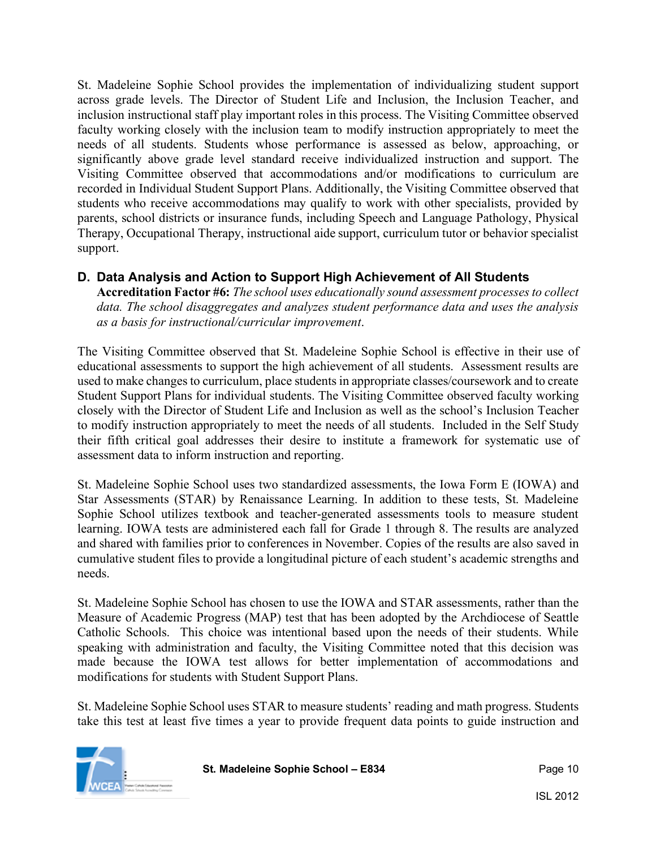St. Madeleine Sophie School provides the implementation of individualizing student support across grade levels. The Director of Student Life and Inclusion, the Inclusion Teacher, and inclusion instructional staff play important roles in this process. The Visiting Committee observed faculty working closely with the inclusion team to modify instruction appropriately to meet the needs of all students. Students whose performance is assessed as below, approaching, or significantly above grade level standard receive individualized instruction and support. The Visiting Committee observed that accommodations and/or modifications to curriculum are recorded in Individual Student Support Plans. Additionally, the Visiting Committee observed that students who receive accommodations may qualify to work with other specialists, provided by parents, school districts or insurance funds, including Speech and Language Pathology, Physical Therapy, Occupational Therapy, instructional aide support, curriculum tutor or behavior specialist support.

#### **D. Data Analysis and Action to Support High Achievement of All Students**

**Accreditation Factor #6:** *The school uses educationally sound assessment processes to collect data. The school disaggregates and analyzes student performance data and uses the analysis as a basis for instructional/curricular improvement*.

The Visiting Committee observed that St. Madeleine Sophie School is effective in their use of educational assessments to support the high achievement of all students. Assessment results are used to make changes to curriculum, place students in appropriate classes/coursework and to create Student Support Plans for individual students. The Visiting Committee observed faculty working closely with the Director of Student Life and Inclusion as well as the school's Inclusion Teacher to modify instruction appropriately to meet the needs of all students. Included in the Self Study their fifth critical goal addresses their desire to institute a framework for systematic use of assessment data to inform instruction and reporting.

St. Madeleine Sophie School uses two standardized assessments, the Iowa Form E (IOWA) and Star Assessments (STAR) by Renaissance Learning. In addition to these tests, St. Madeleine Sophie School utilizes textbook and teacher-generated assessments tools to measure student learning. IOWA tests are administered each fall for Grade 1 through 8. The results are analyzed and shared with families prior to conferences in November. Copies of the results are also saved in cumulative student files to provide a longitudinal picture of each student's academic strengths and needs.

St. Madeleine Sophie School has chosen to use the IOWA and STAR assessments, rather than the Measure of Academic Progress (MAP) test that has been adopted by the Archdiocese of Seattle Catholic Schools. This choice was intentional based upon the needs of their students. While speaking with administration and faculty, the Visiting Committee noted that this decision was made because the IOWA test allows for better implementation of accommodations and modifications for students with Student Support Plans.

St. Madeleine Sophie School uses STAR to measure students' reading and math progress. Students take this test at least five times a year to provide frequent data points to guide instruction and

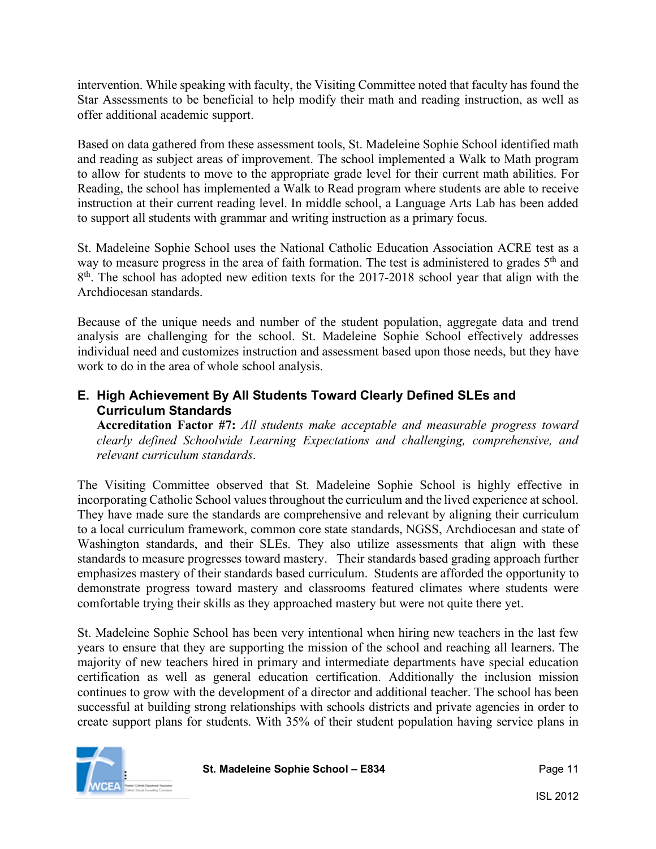intervention. While speaking with faculty, the Visiting Committee noted that faculty has found the Star Assessments to be beneficial to help modify their math and reading instruction, as well as offer additional academic support.

Based on data gathered from these assessment tools, St. Madeleine Sophie School identified math and reading as subject areas of improvement. The school implemented a Walk to Math program to allow for students to move to the appropriate grade level for their current math abilities. For Reading, the school has implemented a Walk to Read program where students are able to receive instruction at their current reading level. In middle school, a Language Arts Lab has been added to support all students with grammar and writing instruction as a primary focus.

St. Madeleine Sophie School uses the National Catholic Education Association ACRE test as a way to measure progress in the area of faith formation. The test is administered to grades 5<sup>th</sup> and 8<sup>th</sup>. The school has adopted new edition texts for the 2017-2018 school year that align with the Archdiocesan standards.

Because of the unique needs and number of the student population, aggregate data and trend analysis are challenging for the school. St. Madeleine Sophie School effectively addresses individual need and customizes instruction and assessment based upon those needs, but they have work to do in the area of whole school analysis.

#### **E. High Achievement By All Students Toward Clearly Defined SLEs and Curriculum Standards**

**Accreditation Factor #7:** *All students make acceptable and measurable progress toward clearly defined Schoolwide Learning Expectations and challenging, comprehensive, and relevant curriculum standards*.

The Visiting Committee observed that St. Madeleine Sophie School is highly effective in incorporating Catholic School values throughout the curriculum and the lived experience at school. They have made sure the standards are comprehensive and relevant by aligning their curriculum to a local curriculum framework, common core state standards, NGSS, Archdiocesan and state of Washington standards, and their SLEs. They also utilize assessments that align with these standards to measure progresses toward mastery. Their standards based grading approach further emphasizes mastery of their standards based curriculum. Students are afforded the opportunity to demonstrate progress toward mastery and classrooms featured climates where students were comfortable trying their skills as they approached mastery but were not quite there yet.

St. Madeleine Sophie School has been very intentional when hiring new teachers in the last few years to ensure that they are supporting the mission of the school and reaching all learners. The majority of new teachers hired in primary and intermediate departments have special education certification as well as general education certification. Additionally the inclusion mission continues to grow with the development of a director and additional teacher. The school has been successful at building strong relationships with schools districts and private agencies in order to create support plans for students. With 35% of their student population having service plans in

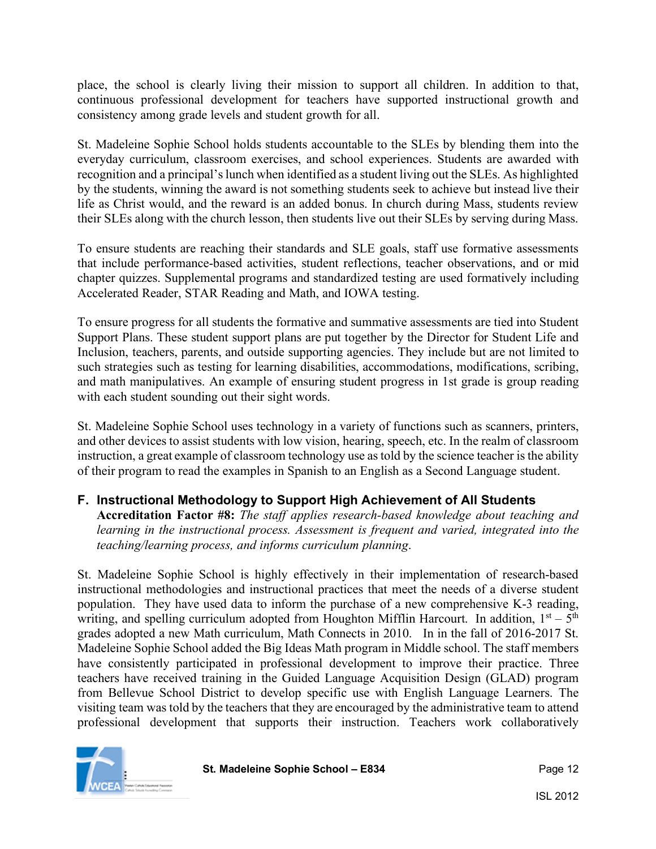place, the school is clearly living their mission to support all children. In addition to that, continuous professional development for teachers have supported instructional growth and consistency among grade levels and student growth for all.

St. Madeleine Sophie School holds students accountable to the SLEs by blending them into the everyday curriculum, classroom exercises, and school experiences. Students are awarded with recognition and a principal's lunch when identified as a student living out the SLEs. As highlighted by the students, winning the award is not something students seek to achieve but instead live their life as Christ would, and the reward is an added bonus. In church during Mass, students review their SLEs along with the church lesson, then students live out their SLEs by serving during Mass.

To ensure students are reaching their standards and SLE goals, staff use formative assessments that include performance-based activities, student reflections, teacher observations, and or mid chapter quizzes. Supplemental programs and standardized testing are used formatively including Accelerated Reader, STAR Reading and Math, and IOWA testing.

To ensure progress for all students the formative and summative assessments are tied into Student Support Plans. These student support plans are put together by the Director for Student Life and Inclusion, teachers, parents, and outside supporting agencies. They include but are not limited to such strategies such as testing for learning disabilities, accommodations, modifications, scribing, and math manipulatives. An example of ensuring student progress in 1st grade is group reading with each student sounding out their sight words.

St. Madeleine Sophie School uses technology in a variety of functions such as scanners, printers, and other devices to assist students with low vision, hearing, speech, etc. In the realm of classroom instruction, a great example of classroom technology use as told by the science teacher is the ability of their program to read the examples in Spanish to an English as a Second Language student.

#### **F. Instructional Methodology to Support High Achievement of All Students**

**Accreditation Factor #8:** *The staff applies research-based knowledge about teaching and learning in the instructional process. Assessment is frequent and varied, integrated into the teaching/learning process, and informs curriculum planning*.

St. Madeleine Sophie School is highly effectively in their implementation of research-based instructional methodologies and instructional practices that meet the needs of a diverse student population. They have used data to inform the purchase of a new comprehensive K-3 reading, writing, and spelling curriculum adopted from Houghton Mifflin Harcourt. In addition,  $1<sup>st</sup> - 5<sup>th</sup>$ grades adopted a new Math curriculum, Math Connects in 2010. In in the fall of 2016-2017 St. Madeleine Sophie School added the Big Ideas Math program in Middle school. The staff members have consistently participated in professional development to improve their practice. Three teachers have received training in the Guided Language Acquisition Design (GLAD) program from Bellevue School District to develop specific use with English Language Learners. The visiting team was told by the teachers that they are encouraged by the administrative team to attend professional development that supports their instruction. Teachers work collaboratively

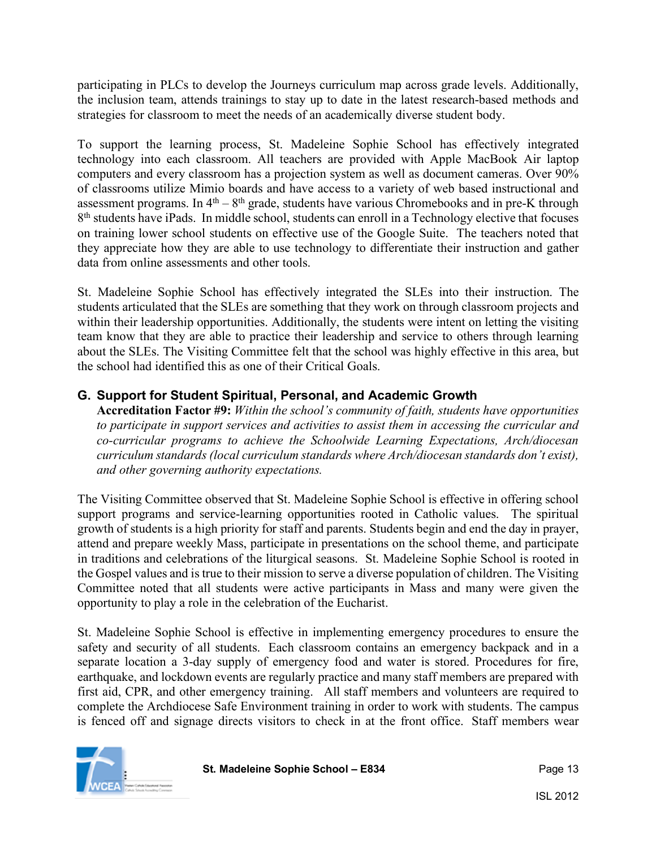participating in PLCs to develop the Journeys curriculum map across grade levels. Additionally, the inclusion team, attends trainings to stay up to date in the latest research-based methods and strategies for classroom to meet the needs of an academically diverse student body.

To support the learning process, St. Madeleine Sophie School has effectively integrated technology into each classroom. All teachers are provided with Apple MacBook Air laptop computers and every classroom has a projection system as well as document cameras. Over 90% of classrooms utilize Mimio boards and have access to a variety of web based instructional and assessment programs. In  $4<sup>th</sup> - 8<sup>th</sup>$  grade, students have various Chromebooks and in pre-K through 8<sup>th</sup> students have iPads. In middle school, students can enroll in a Technology elective that focuses on training lower school students on effective use of the Google Suite. The teachers noted that they appreciate how they are able to use technology to differentiate their instruction and gather data from online assessments and other tools.

St. Madeleine Sophie School has effectively integrated the SLEs into their instruction. The students articulated that the SLEs are something that they work on through classroom projects and within their leadership opportunities. Additionally, the students were intent on letting the visiting team know that they are able to practice their leadership and service to others through learning about the SLEs. The Visiting Committee felt that the school was highly effective in this area, but the school had identified this as one of their Critical Goals.

#### **G. Support for Student Spiritual, Personal, and Academic Growth**

**Accreditation Factor #9:** *Within the school's community of faith, students have opportunities to participate in support services and activities to assist them in accessing the curricular and co-curricular programs to achieve the Schoolwide Learning Expectations, Arch/diocesan curriculum standards (local curriculum standards where Arch/diocesan standards don't exist), and other governing authority expectations.*

The Visiting Committee observed that St. Madeleine Sophie School is effective in offering school support programs and service-learning opportunities rooted in Catholic values. The spiritual growth of students is a high priority for staff and parents. Students begin and end the day in prayer, attend and prepare weekly Mass, participate in presentations on the school theme, and participate in traditions and celebrations of the liturgical seasons. St. Madeleine Sophie School is rooted in the Gospel values and is true to their mission to serve a diverse population of children. The Visiting Committee noted that all students were active participants in Mass and many were given the opportunity to play a role in the celebration of the Eucharist.

St. Madeleine Sophie School is effective in implementing emergency procedures to ensure the safety and security of all students. Each classroom contains an emergency backpack and in a separate location a 3-day supply of emergency food and water is stored. Procedures for fire, earthquake, and lockdown events are regularly practice and many staff members are prepared with first aid, CPR, and other emergency training. All staff members and volunteers are required to complete the Archdiocese Safe Environment training in order to work with students. The campus is fenced off and signage directs visitors to check in at the front office. Staff members wear

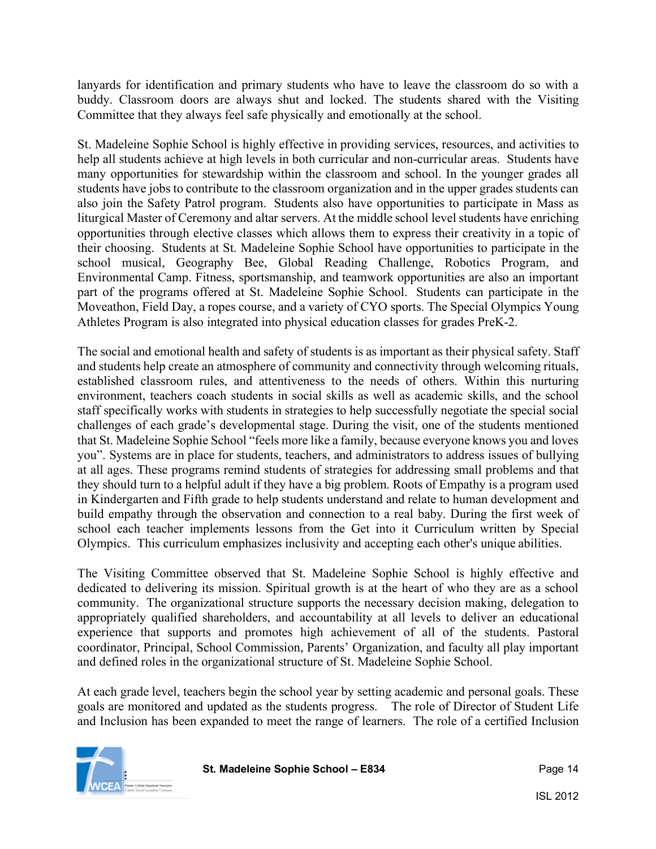lanyards for identification and primary students who have to leave the classroom do so with a buddy. Classroom doors are always shut and locked. The students shared with the Visiting Committee that they always feel safe physically and emotionally at the school.

St. Madeleine Sophie School is highly effective in providing services, resources, and activities to help all students achieve at high levels in both curricular and non-curricular areas. Students have many opportunities for stewardship within the classroom and school. In the younger grades all students have jobs to contribute to the classroom organization and in the upper grades students can also join the Safety Patrol program. Students also have opportunities to participate in Mass as liturgical Master of Ceremony and altar servers. At the middle school level students have enriching opportunities through elective classes which allows them to express their creativity in a topic of their choosing. Students at St. Madeleine Sophie School have opportunities to participate in the school musical, Geography Bee, Global Reading Challenge, Robotics Program, and Environmental Camp. Fitness, sportsmanship, and teamwork opportunities are also an important part of the programs offered at St. Madeleine Sophie School. Students can participate in the Moveathon, Field Day, a ropes course, and a variety of CYO sports. The Special Olympics Young Athletes Program is also integrated into physical education classes for grades PreK-2.

The social and emotional health and safety of students is as important as their physical safety. Staff and students help create an atmosphere of community and connectivity through welcoming rituals, established classroom rules, and attentiveness to the needs of others. Within this nurturing environment, teachers coach students in social skills as well as academic skills, and the school staff specifically works with students in strategies to help successfully negotiate the special social challenges of each grade's developmental stage. During the visit, one of the students mentioned that St. Madeleine Sophie School "feels more like a family, because everyone knows you and loves you". Systems are in place for students, teachers, and administrators to address issues of bullying at all ages. These programs remind students of strategies for addressing small problems and that they should turn to a helpful adult if they have a big problem. Roots of Empathy is a program used in Kindergarten and Fifth grade to help students understand and relate to human development and build empathy through the observation and connection to a real baby. During the first week of school each teacher implements lessons from the Get into it Curriculum written by Special Olympics. This curriculum emphasizes inclusivity and accepting each other's unique abilities.

The Visiting Committee observed that St. Madeleine Sophie School is highly effective and dedicated to delivering its mission. Spiritual growth is at the heart of who they are as a school community. The organizational structure supports the necessary decision making, delegation to appropriately qualified shareholders, and accountability at all levels to deliver an educational experience that supports and promotes high achievement of all of the students. Pastoral coordinator, Principal, School Commission, Parents' Organization, and faculty all play important and defined roles in the organizational structure of St. Madeleine Sophie School.

At each grade level, teachers begin the school year by setting academic and personal goals. These goals are monitored and updated as the students progress. The role of Director of Student Life and Inclusion has been expanded to meet the range of learners. The role of a certified Inclusion

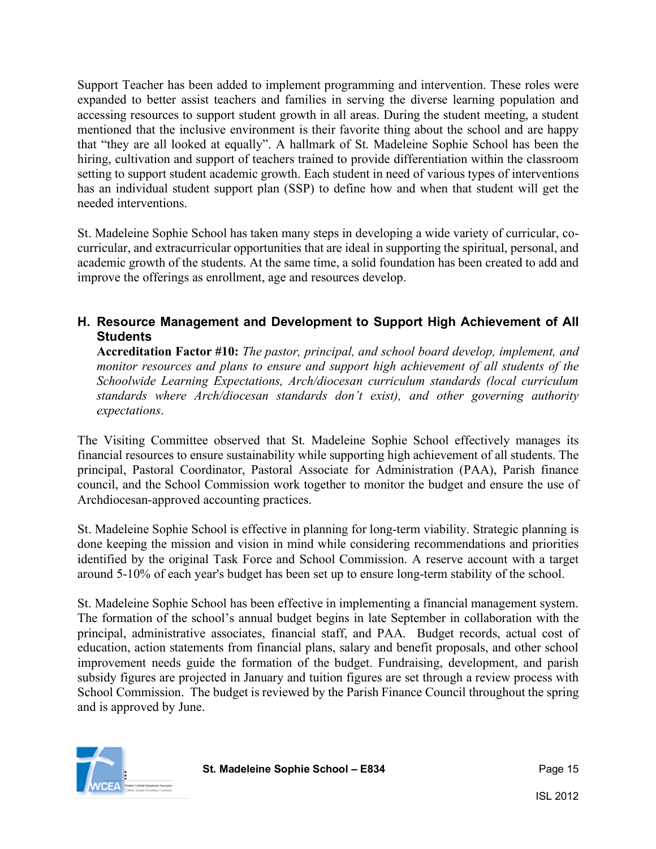Support Teacher has been added to implement programming and intervention. These roles were expanded to better assist teachers and families in serving the diverse learning population and accessing resources to support student growth in all areas. During the student meeting, a student mentioned that the inclusive environment is their favorite thing about the school and are happy that "they are all looked at equally". A hallmark of St. Madeleine Sophie School has been the hiring, cultivation and support of teachers trained to provide differentiation within the classroom setting to support student academic growth. Each student in need of various types of interventions has an individual student support plan (SSP) to define how and when that student will get the needed interventions.

St. Madeleine Sophie School has taken many steps in developing a wide variety of curricular, cocurricular, and extracurricular opportunities that are ideal in supporting the spiritual, personal, and academic growth of the students. At the same time, a solid foundation has been created to add and improve the offerings as enrollment, age and resources develop.

#### **H. Resource Management and Development to Support High Achievement of All Students**

**Accreditation Factor #10:** *The pastor, principal, and school board develop, implement, and monitor resources and plans to ensure and support high achievement of all students of the Schoolwide Learning Expectations, Arch/diocesan curriculum standards (local curriculum standards where Arch/diocesan standards don't exist), and other governing authority expectations*.

The Visiting Committee observed that St. Madeleine Sophie School effectively manages its financial resources to ensure sustainability while supporting high achievement of all students. The principal, Pastoral Coordinator, Pastoral Associate for Administration (PAA), Parish finance council, and the School Commission work together to monitor the budget and ensure the use of Archdiocesan-approved accounting practices.

St. Madeleine Sophie School is effective in planning for long-term viability. Strategic planning is done keeping the mission and vision in mind while considering recommendations and priorities identified by the original Task Force and School Commission. A reserve account with a target around 5-10% of each year's budget has been set up to ensure long-term stability of the school.

St. Madeleine Sophie School has been effective in implementing a financial management system. The formation of the school's annual budget begins in late September in collaboration with the principal, administrative associates, financial staff, and PAA. Budget records, actual cost of education, action statements from financial plans, salary and benefit proposals, and other school improvement needs guide the formation of the budget. Fundraising, development, and parish subsidy figures are projected in January and tuition figures are set through a review process with School Commission. The budget is reviewed by the Parish Finance Council throughout the spring and is approved by June.

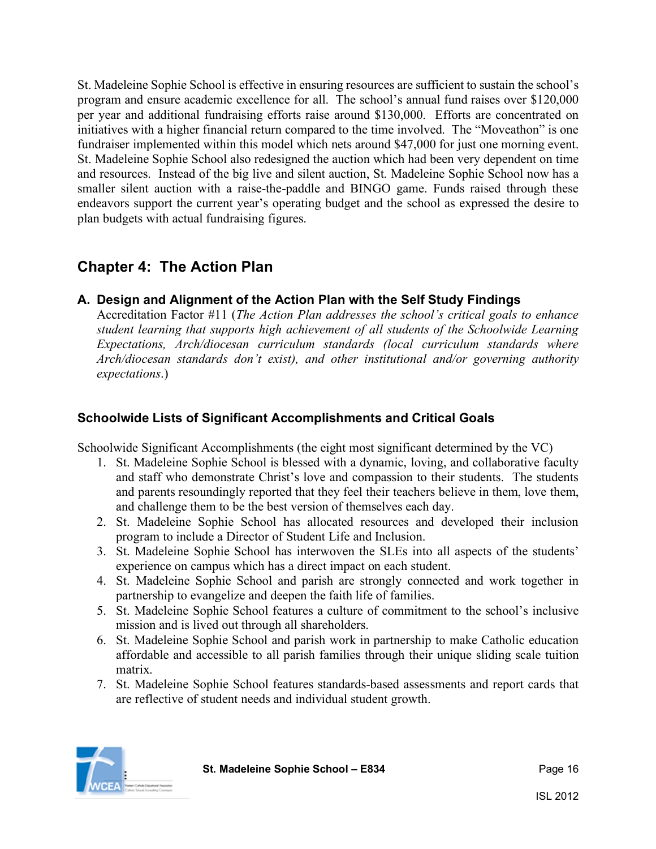St. Madeleine Sophie School is effective in ensuring resources are sufficient to sustain the school's program and ensure academic excellence for all. The school's annual fund raises over \$120,000 per year and additional fundraising efforts raise around \$130,000. Efforts are concentrated on initiatives with a higher financial return compared to the time involved. The "Moveathon" is one fundraiser implemented within this model which nets around \$47,000 for just one morning event. St. Madeleine Sophie School also redesigned the auction which had been very dependent on time and resources. Instead of the big live and silent auction, St. Madeleine Sophie School now has a smaller silent auction with a raise-the-paddle and BINGO game. Funds raised through these endeavors support the current year's operating budget and the school as expressed the desire to plan budgets with actual fundraising figures.

# **Chapter 4: The Action Plan**

#### **A. Design and Alignment of the Action Plan with the Self Study Findings**

Accreditation Factor #11 (*The Action Plan addresses the school's critical goals to enhance student learning that supports high achievement of all students of the Schoolwide Learning Expectations, Arch/diocesan curriculum standards (local curriculum standards where Arch/diocesan standards don't exist), and other institutional and/or governing authority expectations*.)

#### **Schoolwide Lists of Significant Accomplishments and Critical Goals**

Schoolwide Significant Accomplishments (the eight most significant determined by the VC)

- 1. St. Madeleine Sophie School is blessed with a dynamic, loving, and collaborative faculty and staff who demonstrate Christ's love and compassion to their students. The students and parents resoundingly reported that they feel their teachers believe in them, love them, and challenge them to be the best version of themselves each day.
- 2. St. Madeleine Sophie School has allocated resources and developed their inclusion program to include a Director of Student Life and Inclusion.
- 3. St. Madeleine Sophie School has interwoven the SLEs into all aspects of the students' experience on campus which has a direct impact on each student.
- 4. St. Madeleine Sophie School and parish are strongly connected and work together in partnership to evangelize and deepen the faith life of families.
- 5. St. Madeleine Sophie School features a culture of commitment to the school's inclusive mission and is lived out through all shareholders.
- 6. St. Madeleine Sophie School and parish work in partnership to make Catholic education affordable and accessible to all parish families through their unique sliding scale tuition matrix.
- 7. St. Madeleine Sophie School features standards-based assessments and report cards that are reflective of student needs and individual student growth.

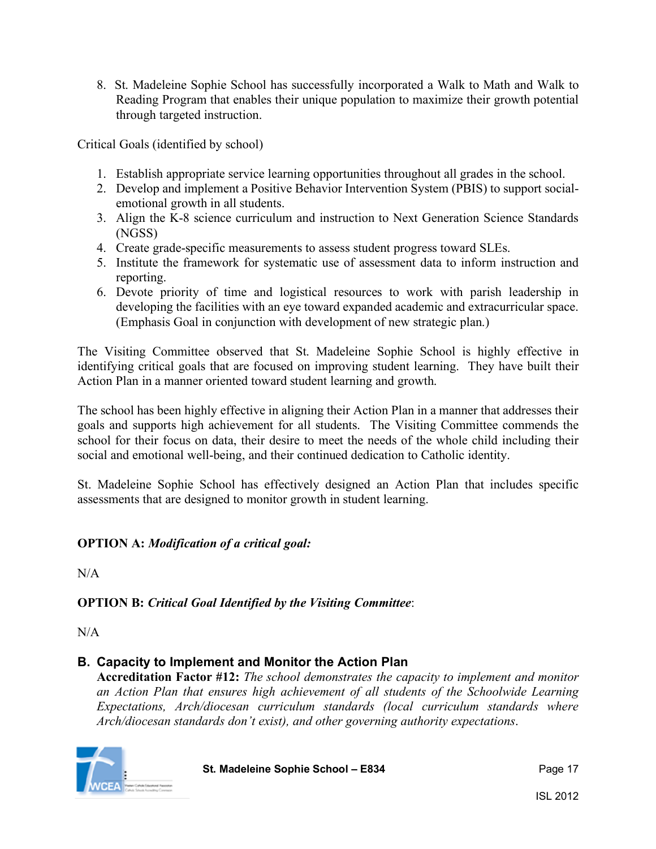8. St. Madeleine Sophie School has successfully incorporated a Walk to Math and Walk to Reading Program that enables their unique population to maximize their growth potential through targeted instruction.

Critical Goals (identified by school)

- 1. Establish appropriate service learning opportunities throughout all grades in the school.
- 2. Develop and implement a Positive Behavior Intervention System (PBIS) to support socialemotional growth in all students.
- 3. Align the K-8 science curriculum and instruction to Next Generation Science Standards (NGSS)
- 4. Create grade-specific measurements to assess student progress toward SLEs.
- 5. Institute the framework for systematic use of assessment data to inform instruction and reporting.
- 6. Devote priority of time and logistical resources to work with parish leadership in developing the facilities with an eye toward expanded academic and extracurricular space. (Emphasis Goal in conjunction with development of new strategic plan.)

The Visiting Committee observed that St. Madeleine Sophie School is highly effective in identifying critical goals that are focused on improving student learning. They have built their Action Plan in a manner oriented toward student learning and growth.

The school has been highly effective in aligning their Action Plan in a manner that addresses their goals and supports high achievement for all students. The Visiting Committee commends the school for their focus on data, their desire to meet the needs of the whole child including their social and emotional well-being, and their continued dedication to Catholic identity.

St. Madeleine Sophie School has effectively designed an Action Plan that includes specific assessments that are designed to monitor growth in student learning.

#### **OPTION A:** *Modification of a critical goal:*

 $N/A$ 

#### **OPTION B:** *Critical Goal Identified by the Visiting Committee*:

 $N/A$ 

#### **B. Capacity to Implement and Monitor the Action Plan**

**Accreditation Factor #12:** *The school demonstrates the capacity to implement and monitor an Action Plan that ensures high achievement of all students of the Schoolwide Learning Expectations, Arch/diocesan curriculum standards (local curriculum standards where Arch/diocesan standards don't exist), and other governing authority expectations*.



**St. Madeleine Sophie School – E834** Page 17